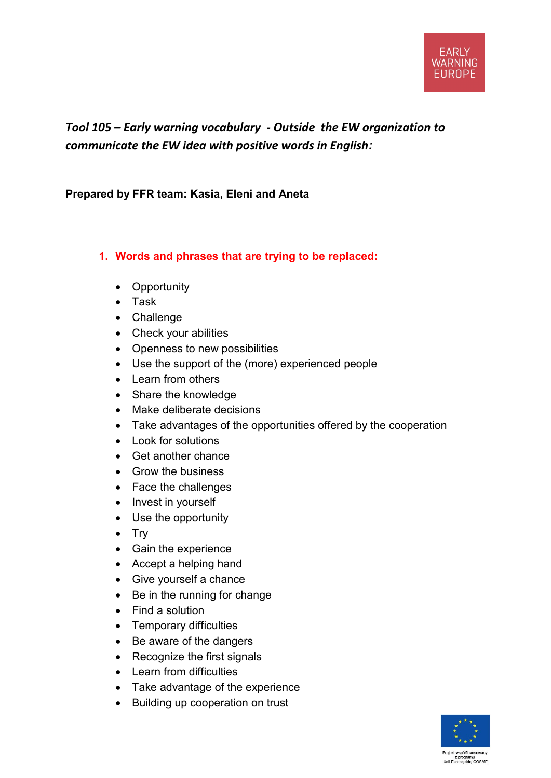## *Tool 105 – Early warning vocabulary - Outside the EW organization to communicate the EW idea with positive words in English:*

**Prepared by FFR team: Kasia, Eleni and Aneta**

## **1. Words and phrases that are trying to be replaced:**

- Opportunity
- Task
- Challenge
- Check your abilities
- Openness to new possibilities
- Use the support of the (more) experienced people
- Learn from others
- Share the knowledge
- Make deliberate decisions
- Take advantages of the opportunities offered by the cooperation
- Look for solutions
- Get another chance
- Grow the business
- Face the challenges
- Invest in yourself
- Use the opportunity
- Try
- Gain the experience
- Accept a helping hand
- Give yourself a chance
- Be in the running for change
- Find a solution
- Temporary difficulties
- Be aware of the dangers
- Recognize the first signals
- Learn from difficulties
- Take advantage of the experience
- B[uilding](http://pl.pons.com/t%C5%82umaczenie/angielski-polski/ilding) [up](http://pl.pons.com/t%C5%82umaczenie/angielski-polski/up) [cooperation](http://pl.pons.com/t%C5%82umaczenie/angielski-polski/cooperation) [on](http://pl.pons.com/t%C5%82umaczenie/angielski-polski/on) [trust](http://pl.pons.com/t%C5%82umaczenie/angielski-polski/trust)

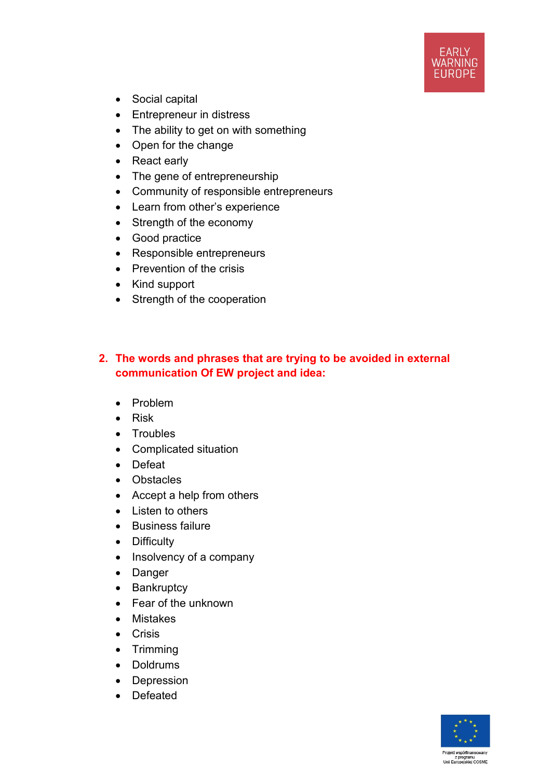

- Social capital
- Entrepreneur in distress
- The ability to get on with something
- Open for the change
- React early
- The gene of entrepreneurship
- Community of responsible entrepreneurs
- Learn from other's experience
- Strength of the economy
- Good practice
- Responsible entrepreneurs
- Prevention of the crisis
- Kind support
- Strength of the cooperation

## **2. [The](http://pl.pons.com/t%C5%82umaczenie/angielski-polski/the) [words](http://pl.pons.com/t%C5%82umaczenie/angielski-polski/words) [and](http://pl.pons.com/t%C5%82umaczenie/angielski-polski/and) [phrases](http://pl.pons.com/t%C5%82umaczenie/angielski-polski/phrases) [that](http://pl.pons.com/t%C5%82umaczenie/angielski-polski/that) are [tryi](http://pl.pons.com/t%C5%82umaczenie/angielski-polski/try)ng [to](http://pl.pons.com/t%C5%82umaczenie/angielski-polski/to) be [avoide](http://pl.pons.com/t%C5%82umaczenie/angielski-polski/avoid)d in external communication Of EW project and idea:**

- Problem
- Risk
- Troubles
- Complicated situation
- Defeat
- Obstacles
- Accept a help from others
- Listen to others
- Business failure
- Difficulty
- Insolvency of a company
- Danger
- Bankruptcy
- Fear of the unknown
- Mistakes
- Crisis
- Trimming
- Doldrums
- Depression
- Defeated